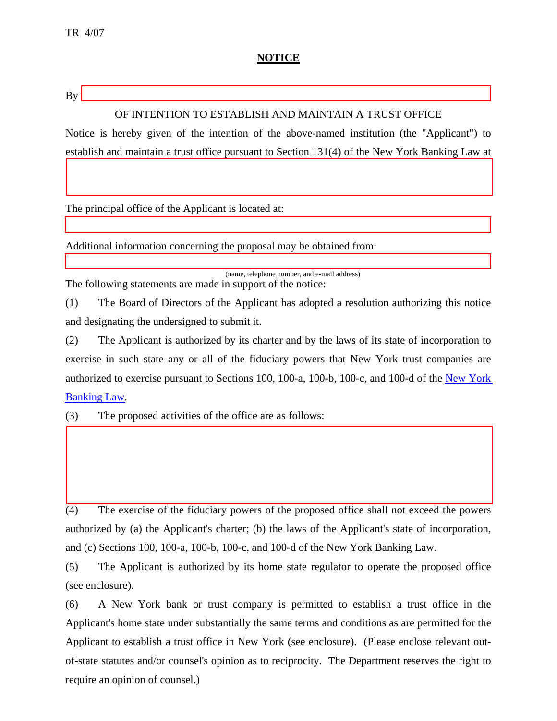## **NOTICE**

 $Bv$ 

 $\overline{a}$ 

## OF INTENTION TO ESTABLISH AND MAINTAIN A TRUST OFFICE

Notice is hereby given of the intention of the above-named institution (the "Applicant") to establish and maintain a trust office pursuant to Section 131(4) of the New York Banking Law at

The principal office of the Applicant is located at:

Additional information concerning the proposal may be obtained from:

(name, telephone number, and e-mail address) The following statements are made in support of the notice:

(1) The Board of Directors of the Applicant has adopted a resolution authorizing this notice and designating the undersigned to submit it.

(2) The Applicant is authorized by its charter and by the laws of its state of incorporation to exercise in such state any or all of the fiduciary powers that New York trust companies are authorized to exercise pursuant to Sections 100, 100-a, 100-b, 100-c, and 100-d of the [New York](http://public.leginfo.state.ny.us/menugetf.cgi?COMMONQUERY=LAWS)  [Banking Law.](http://public.leginfo.state.ny.us/menugetf.cgi?COMMONQUERY=LAWS)

(3) The proposed activities of the office are as follows:

(4) The exercise of the fiduciary powers of the proposed office shall not exceed the powers authorized by (a) the Applicant's charter; (b) the laws of the Applicant's state of incorporation, and (c) Sections 100, 100-a, 100-b, 100-c, and 100-d of the New York Banking Law.

(5) The Applicant is authorized by its home state regulator to operate the proposed office (see enclosure).

(6) A New York bank or trust company is permitted to establish a trust office in the Applicant's home state under substantially the same terms and conditions as are permitted for the Applicant to establish a trust office in New York (see enclosure). (Please enclose relevant outof-state statutes and/or counsel's opinion as to reciprocity. The Department reserves the right to require an opinion of counsel.)